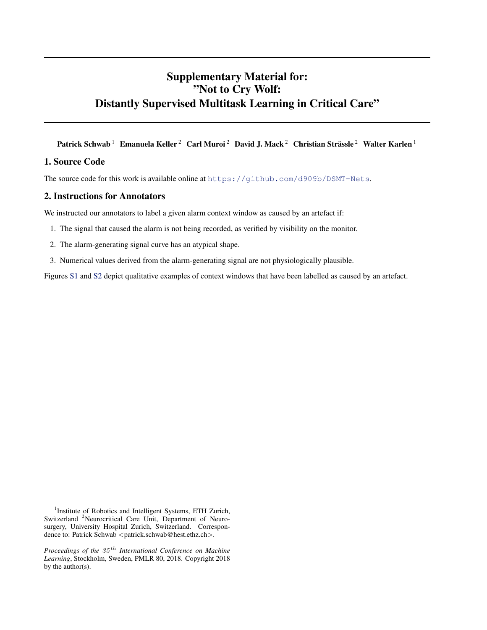## Supplementary Material for: "Not to Cry Wolf: Distantly Supervised Multitask Learning in Critical Care"

Patrick Schwab  $^1$  Emanuela Keller  $^2$  Carl Muroi  $^2$  David J. Mack  $^2$  Christian Strässle  $^2$  Walter Karlen  $^1$ 

## 1. Source Code

The source code for this work is available online at <https://github.com/d909b/DSMT-Nets>.

## 2. Instructions for Annotators

We instructed our annotators to label a given alarm context window as caused by an artefact if:

- 1. The signal that caused the alarm is not being recorded, as verified by visibility on the monitor.
- 2. The alarm-generating signal curve has an atypical shape.
- 3. Numerical values derived from the alarm-generating signal are not physiologically plausible.

Figures [S1](#page-2-0) and [S2](#page-2-0) depict qualitative examples of context windows that have been labelled as caused by an artefact.

<sup>&</sup>lt;sup>1</sup>Institute of Robotics and Intelligent Systems, ETH Zurich, Switzerland <sup>2</sup>Neurocritical Care Unit, Department of Neurosurgery, University Hospital Zurich, Switzerland. Correspondence to: Patrick Schwab <patrick.schwab@hest.ethz.ch>.

*Proceedings of the* 35 th *International Conference on Machine Learning*, Stockholm, Sweden, PMLR 80, 2018. Copyright 2018 by the author(s).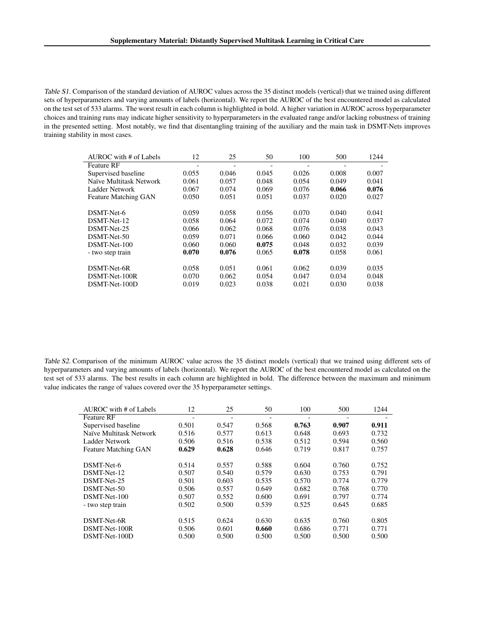Table S1. Comparison of the standard deviation of AUROC values across the 35 distinct models (vertical) that we trained using different sets of hyperparameters and varying amounts of labels (horizontal). We report the AUROC of the best encountered model as calculated on the test set of 533 alarms. The worst result in each column is highlighted in bold. A higher variation in AUROC across hyperparameter choices and training runs may indicate higher sensitivity to hyperparameters in the evaluated range and/or lacking robustness of training in the presented setting. Most notably, we find that disentangling training of the auxiliary and the main task in DSMT-Nets improves training stability in most cases.

| AUROC with # of Labels  | 12    | 25    | 50    | 100   | 500   | 1244  |
|-------------------------|-------|-------|-------|-------|-------|-------|
| Feature RF              |       |       |       |       |       |       |
| Supervised baseline     | 0.055 | 0.046 | 0.045 | 0.026 | 0.008 | 0.007 |
| Naïve Multitask Network | 0.061 | 0.057 | 0.048 | 0.054 | 0.049 | 0.041 |
| Ladder Network          | 0.067 | 0.074 | 0.069 | 0.076 | 0.066 | 0.076 |
| Feature Matching GAN    | 0.050 | 0.051 | 0.051 | 0.037 | 0.020 | 0.027 |
| DSMT-Net-6              | 0.059 | 0.058 | 0.056 | 0.070 | 0.040 | 0.041 |
| DSMT-Net-12             | 0.058 | 0.064 | 0.072 | 0.074 | 0.040 | 0.037 |
| DSMT-Net-25             | 0.066 | 0.062 | 0.068 | 0.076 | 0.038 | 0.043 |
| DSMT-Net-50             | 0.059 | 0.071 | 0.066 | 0.060 | 0.042 | 0.044 |
| DSMT-Net-100            | 0.060 | 0.060 | 0.075 | 0.048 | 0.032 | 0.039 |
| - two step train        | 0.070 | 0.076 | 0.065 | 0.078 | 0.058 | 0.061 |
| DSMT-Net-6R             | 0.058 | 0.051 | 0.061 | 0.062 | 0.039 | 0.035 |
| DSMT-Net-100R           | 0.070 | 0.062 | 0.054 | 0.047 | 0.034 | 0.048 |
| DSMT-Net-100D           | 0.019 | 0.023 | 0.038 | 0.021 | 0.030 | 0.038 |

Table S2. Comparison of the minimum AUROC value across the 35 distinct models (vertical) that we trained using different sets of hyperparameters and varying amounts of labels (horizontal). We report the AUROC of the best encountered model as calculated on the test set of 533 alarms. The best results in each column are highlighted in bold. The difference between the maximum and minimum value indicates the range of values covered over the 35 hyperparameter settings.

| AUROC with # of Labels      | 12    | 25    | 50    | 100   | 500   | 1244  |
|-----------------------------|-------|-------|-------|-------|-------|-------|
| <b>Feature RF</b>           |       |       |       |       |       |       |
| Supervised baseline         | 0.501 | 0.547 | 0.568 | 0.763 | 0.907 | 0.911 |
| Naïve Multitask Network     | 0.516 | 0.577 | 0.613 | 0.648 | 0.693 | 0.732 |
| Ladder Network              | 0.506 | 0.516 | 0.538 | 0.512 | 0.594 | 0.560 |
| <b>Feature Matching GAN</b> | 0.629 | 0.628 | 0.646 | 0.719 | 0.817 | 0.757 |
| DSMT-Net-6                  | 0.514 | 0.557 | 0.588 | 0.604 | 0.760 | 0.752 |
| DSMT-Net-12                 | 0.507 | 0.540 | 0.579 | 0.630 | 0.753 | 0.791 |
| DSMT-Net-25                 | 0.501 | 0.603 | 0.535 | 0.570 | 0.774 | 0.779 |
| DSMT-Net-50                 | 0.506 | 0.557 | 0.649 | 0.682 | 0.768 | 0.770 |
| DSMT-Net-100                | 0.507 | 0.552 | 0.600 | 0.691 | 0.797 | 0.774 |
| - two step train            | 0.502 | 0.500 | 0.539 | 0.525 | 0.645 | 0.685 |
| DSMT-Net-6R                 | 0.515 | 0.624 | 0.630 | 0.635 | 0.760 | 0.805 |
| DSMT-Net-100R               | 0.506 | 0.601 | 0.660 | 0.686 | 0.771 | 0.771 |
| DSMT-Net-100D               | 0.500 | 0.500 | 0.500 | 0.500 | 0.500 | 0.500 |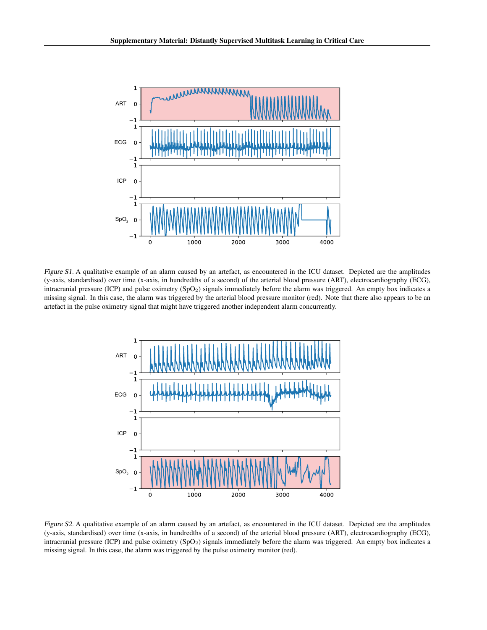<span id="page-2-0"></span>

Figure S1. A qualitative example of an alarm caused by an artefact, as encountered in the ICU dataset. Depicted are the amplitudes (y-axis, standardised) over time (x-axis, in hundredths of a second) of the arterial blood pressure (ART), electrocardiography (ECG), intracranial pressure (ICP) and pulse oximetry (SpO<sub>2</sub>) signals immediately before the alarm was triggered. An empty box indicates a missing signal. In this case, the alarm was triggered by the arterial blood pressure monitor (red). Note that there also appears to be an artefact in the pulse oximetry signal that might have triggered another independent alarm concurrently.



Figure S2. A qualitative example of an alarm caused by an artefact, as encountered in the ICU dataset. Depicted are the amplitudes (y-axis, standardised) over time (x-axis, in hundredths of a second) of the arterial blood pressure (ART), electrocardiography (ECG), intracranial pressure (ICP) and pulse oximetry  $(SpO<sub>2</sub>)$  signals immediately before the alarm was triggered. An empty box indicates a missing signal. In this case, the alarm was triggered by the pulse oximetry monitor (red).